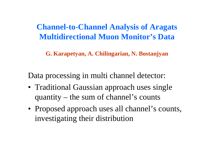# **Channel-to-Channel Analysis of Aragats Multidirectional Muon Monitor's Data**

**G. Karapetyan, A. Chilingarian, N. Bostanjyan**

Data processing in multi channel detector:

- Traditional Gaussian approach uses single quantity – the sum of channel's counts
- Proposed approach uses all channel's counts, investigating their distribution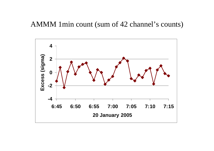#### AMMM 1 min count (sum of 42 channel's counts)

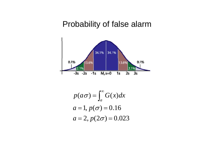# Probability of false alarm



$$
p(a\sigma) = \int_a^{\infty} G(x)dx
$$
  

$$
a = 1, p(\sigma) = 0.16
$$
  

$$
a = 2, p(2\sigma) = 0.023
$$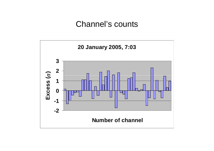### Channel's counts

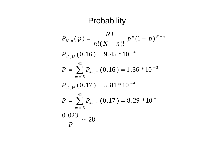# Probability

$$
P_{N,n}(p) = \frac{N!}{n!(N-n)!} p^{n} (1-p)^{N-n}
$$
  
\n
$$
P_{42,15}(0.16) = 9.45 * 10^{-4}
$$
  
\n
$$
P = \sum_{m=15}^{42} P_{42,m}(0.16) = 1.36 * 10^{-3}
$$
  
\n
$$
P_{42,16}(0.17) = 5.81 * 10^{-4}
$$
  
\n
$$
P = \sum_{m=15}^{42} P_{42,m}(0.17) = 8.29 * 10^{-4}
$$
  
\n
$$
\frac{0.023}{P} \sim 28
$$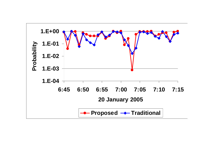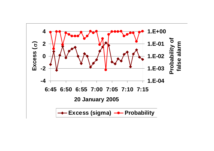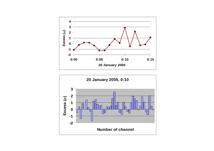

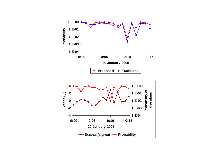

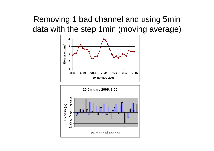# Removing 1 bad channel and using 5min data with the step 1min (moving average)